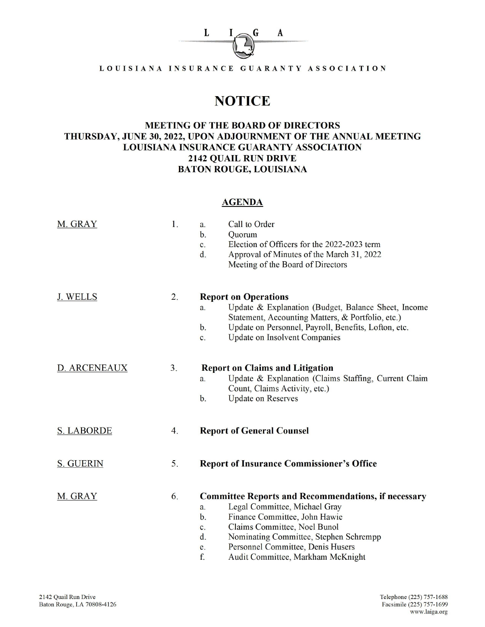

LOUISIANA INSURANCE GUARANTY ASSOCIATION

## **NOTICE**

## MEETING OF THE BOARD OF DIRECTORS THURSDAY, JUNE 30, 2022, UPON ADJOURNMENT OF THE ANNUAL MEETING LOUISIANA INSURANCE GUARANTY ASSOCIATION 2142QUAIL RUN DRIVE BATON ROUGE, LOUISIANA

## **AGENDA**

| M. GRAY           | 1. | Call to Order<br>a.<br>$\mathbf{b}$ .<br>Quorum<br>Election of Officers for the 2022-2023 term<br>$\mathbf{C}$ .<br>d.<br>Approval of Minutes of the March 31, 2022<br>Meeting of the Board of Directors                                                                                                                            |
|-------------------|----|-------------------------------------------------------------------------------------------------------------------------------------------------------------------------------------------------------------------------------------------------------------------------------------------------------------------------------------|
| <b>J. WELLS</b>   | 2. | <b>Report on Operations</b><br>Update & Explanation (Budget, Balance Sheet, Income<br>a.<br>Statement, Accounting Matters, & Portfolio, etc.)<br>Update on Personnel, Payroll, Benefits, Lofton, etc.<br>$\mathbf{b}$ .<br><b>Update on Insolvent Companies</b><br>$\mathbf{c}$ .                                                   |
| D. ARCENEAUX      | 3. | <b>Report on Claims and Litigation</b><br>Update & Explanation (Claims Staffing, Current Claim<br>a.<br>Count, Claims Activity, etc.)<br><b>Update on Reserves</b><br>$b$ .                                                                                                                                                         |
| <b>S. LABORDE</b> | 4. | <b>Report of General Counsel</b>                                                                                                                                                                                                                                                                                                    |
| <b>S. GUERIN</b>  | 5. | <b>Report of Insurance Commissioner's Office</b>                                                                                                                                                                                                                                                                                    |
| M. GRAY           | 6. | <b>Committee Reports and Recommendations, if necessary</b><br>Legal Committee, Michael Gray<br>a.<br>Finance Committee, John Hawie<br>$b$ .<br>Claims Committee, Noel Bunol<br>c.<br>$\mathbf{d}$ .<br>Nominating Committee, Stephen Schrempp<br>Personnel Committee, Denis Husers<br>e.<br>f.<br>Audit Committee, Markham McKnight |